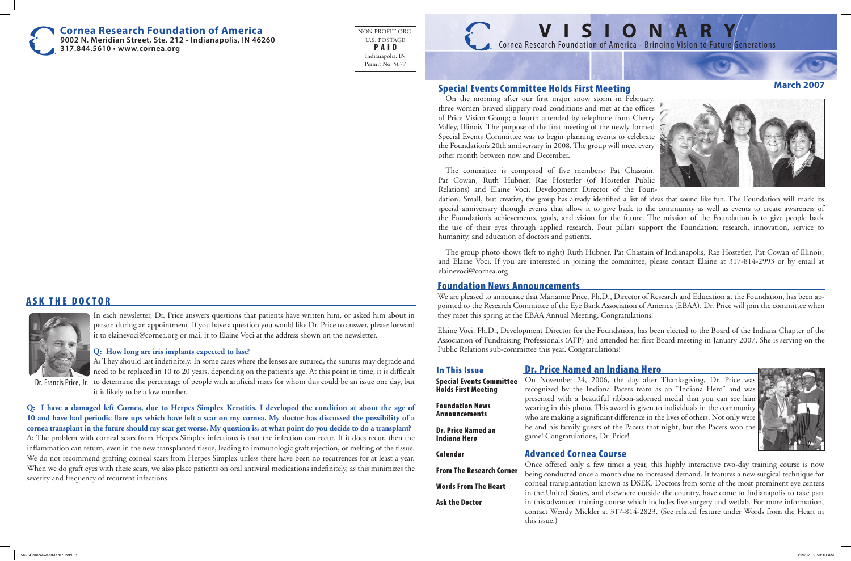## Special Events Committee Holds First Meeting

On the morning after our first major snow storm in February, three women braved slippery road conditions and met at the offices of Price Vision Group; a fourth attended by telephone from Cherry Valley, Illinois. The purpose of the first meeting of the newly formed Special Events Committee was to begin planning events to celebrate the Foundation's 20th anniversary in 2008. The group will meet every other month between now and December.

The committee is composed of five members: Pat Chastain, Pat Cowan, Ruth Hubner, Rae Hostetler (of Hostetler Public Relations) and Elaine Voci, Development Director of the Foundation. Small, but creative, the group has already identified a list of ideas that sound like fun. The Foundation will mark its special anniversary through events that allow it to give back to the community as well as events to create awareness of the Foundation's achievements, goals, and vision for the future. The mission of the Foundation is to give people back the use of their eyes through applied research. Four pillars support the Foundation: research, innovation, service to humanity, and education of doctors and patients.

The group photo shows (left to right) Ruth Hubner, Pat Chastain of Indianapolis, Rae Hostetler, Pat Cowan of Illinois, and Elaine Voci. If you are interested in joining the committee, please contact Elaine at 317-814-2993 or by email at elainevoci@cornea.org

## Dr. Price Named an Indiana Hero



On November 24, 2006, the day after Thanksgiving, Dr. Price was recognized by the Indiana Pacers team as an "Indiana Hero" and was presented with a beautiful ribbon-adorned medal that you can see him wearing in this photo. This award is given to individuals in the community who are making a significant difference in the lives of others. Not only were he and his family guests of the Pacers that night, but the Pacers won the game! Congratulations, Dr. Price!

# Advanced Cornea Course

Once offered only a few times a year, this highly interactive two-day training course is now being conducted once a month due to increased demand. It features a new surgical technique for corneal transplantation known as DSEK. Doctors from some of the most prominent eye centers in the United States, and elsewhere outside the country, have come to Indianapolis to take part in this advanced training course which includes live surgery and wetlab. For more information, contact Wendy Mickler at 317-814-2823. (See related feature under Words from the Heart in this issue.)

# **ASK THE DOCTOR**



In each newsletter, Dr. Price answers questions that patients have written him, or asked him about in person during an appointment. If you have a question you would like Dr. Price to answer, please forward it to elainevoci@cornea.org or mail it to Elaine Voci at the address shown on the newsletter.

### **Q: How long are iris implants expected to last?**

**A:** They should last indefinitely. In some cases where the lenses are sutured, the sutures may degrade and need to be replaced in 10 to 20 years, depending on the patient's age. At this point in time, it is difficult Dr. Francis Price, Jr. to determine the percentage of people with artificial irises for whom this could be an issue one day, but it is likely to be a low number.

**Q: I have a damaged left Cornea, due to Herpes Simplex Keratitis. I developed the condition at about the age of 10 and have had periodic flare ups which have left a scar on my cornea. My doctor has discussed the possibility of a cornea transplant in the future should my scar get worse. My question is: at what point do you decide to do a transplant? A:** The problem with corneal scars from Herpes Simplex infections is that the infection can recur. If it does recur, then the inflammation can return, even in the new transplanted tissue, leading to immunologic graft rejection, or melting of the tissue. We do not recommend grafting corneal scars from Herpes Simplex unless there have been no recurrences for at least a year. When we do graft eyes with these scars, we also place patients on oral antiviral medications indefinitely, as this minimizes the severity and frequency of recurrent infections.

**Cornea Research Foundation of America 9002 N. Meridian Street, Ste. 212 • Indianapolis, IN 46260**

**317.844.5610 • www.cornea.org**

NON PROFIT ORG. U.S. POSTAGE P A I D Indianapolis, IN Permit No. 5677



# **V I S I O N A R Y** Cornea Research Foundation of America - Bringing Vision to Future Generations

## **March 2007**



## In This Issue

Special Events Committee Holds First Meeting

Foundation News Announcements

Dr. Price Named an Indiana Hero

Calendar

From The Research Corner

Words From The Heart

Ask the Doctor

## Foundation News Announcements

We are pleased to announce that Marianne Price, Ph.D., Director of Research and Education at the Foundation, has been appointed to the Research Committee of the Eye Bank Association of America (EBAA). Dr. Price will join the committee when they meet this spring at the EBAA Annual Meeting. Congratulations!

Elaine Voci, Ph.D., Development Director for the Foundation, has been elected to the Board of the Indiana Chapter of the Association of Fundraising Professionals (AFP) and attended her first Board meeting in January 2007. She is serving on the Public Relations sub-committee this year. Congratulations!